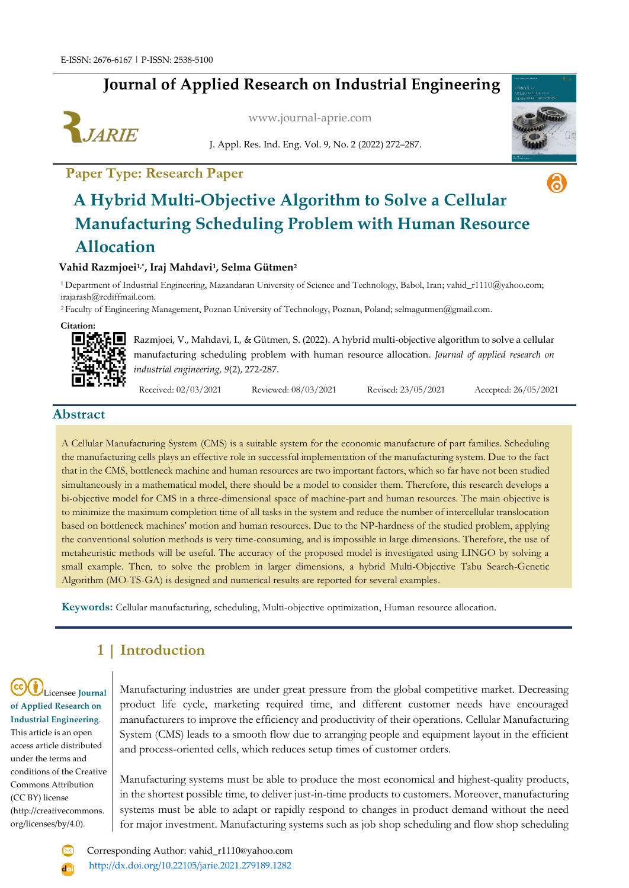# **Journal of Applied Research on Industrial Engineering**



[www.journal-aprie.com](http://www.journal-aprie.com/)

J. Appl. Res. Ind. Eng. Vol. 9, No. 2 (2022) 272–287.

# **Paper Type: Research Paper**



ெ

# **A Hybrid Multi-Objective Algorithm to Solve a Cellular Manufacturing Scheduling Problem with Human Resource Allocation**

### **Vahid Razmjoei1,\* , Iraj Mahdavi<sup>1</sup> , Selma Gütmen<sup>2</sup>**

<sup>1</sup>Department of Industrial Engineering, Mazandaran University of Science and Technology, Babol, Iran; [vahid\\_r1110@yahoo.com;](mailto:vahid_r1110@yahoo.com) irajarash@rediffmail.com.

<sup>2</sup>Faculty of Engineering Management, Poznan University of Technology, Poznan, Poland; selmagutmen@gmail.com.



Razmjoei, V., Mahdavi, I., & Gütmen, S. (2022). A hybrid multi-objective algorithm to solve a cellular manufacturing scheduling problem with human resource allocation. *Journal of applied research on industrial engineering, 9*(2), 272-287.

Received: 02/03/2021 Reviewed: 08/03/2021 Revised: 23/05/2021 Accepted: 26/05/2021

### **Abstract**

A Cellular Manufacturing System (CMS) is a suitable system for the economic manufacture of part families. Scheduling the manufacturing cells plays an effective role in successful implementation of the manufacturing system. Due to the fact that in the CMS, bottleneck machine and human resources are two important factors, which so far have not been studied simultaneously in a mathematical model, there should be a model to consider them. Therefore, this research develops a bi-objective model for CMS in a three-dimensional space of machine-part and human resources. The main objective is to minimize the maximum completion time of all tasks in the system and reduce the number of intercellular translocation based on bottleneck machines' motion and human resources. Due to the NP-hardness of the studied problem, applying the conventional solution methods is very time-consuming, and is impossible in large dimensions. Therefore, the use of metaheuristic methods will be useful. The accuracy of the proposed model is investigated using LINGO by solving a small example. Then, to solve the problem in larger dimensions, a hybrid Multi-Objective Tabu Search-Genetic Algorithm (MO-TS-GA) is designed and numerical results are reported for several examples.

**Keywords:** Cellular manufacturing, scheduling, Multi-objective optimization, Human resource allocation.

# **1 | Introduction**

Licensee **Journal of Applied Research on Industrial Engineering**. This article is an open access article distributed under the terms and conditions of the Creative Commons Attribution (CC BY) license (http://creativecommons. org/licenses/by/4.0).

Manufacturing industries are under great pressure from the global competitive market. Decreasing product life cycle, marketing required time, and different customer needs have encouraged manufacturers to improve the efficiency and productivity of their operations. Cellular Manufacturing System (CMS) leads to a smooth flow due to arranging people and equipment layout in the efficient and process-oriented cells, which reduces setup times of customer orders.

Manufacturing systems must be able to produce the most economical and highest-quality products, in the shortest possible time, to deliver just-in-time products to customers. Moreover, manufacturing systems must be able to adapt or rapidly respond to changes in product demand without the need for major investment. Manufacturing systems such as job shop scheduling and flow shop scheduling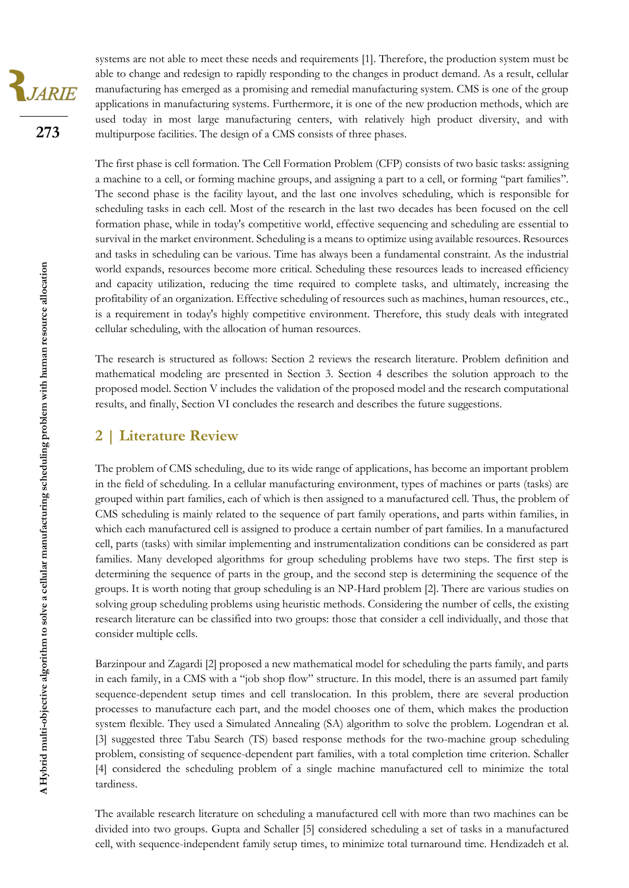systems are not able to meet these needs and requirements [1]. Therefore, the production system must be able to change and redesign to rapidly responding to the changes in product demand. As a result, cellular manufacturing has emerged as a promising and remedial manufacturing system. CMS is one of the group applications in manufacturing systems. Furthermore, it is one of the new production methods, which are used today in most large manufacturing centers, with relatively high product diversity, and with multipurpose facilities. The design of a CMS consists of three phases.

The first phase is cell formation. The Cell Formation Problem (CFP) consists of two basic tasks: assigning a machine to a cell, or forming machine groups, and assigning a part to a cell, or forming ''part families''. The second phase is the facility layout, and the last one involves scheduling, which is responsible for scheduling tasks in each cell. Most of the research in the last two decades has been focused on the cell formation phase, while in today's competitive world, effective sequencing and scheduling are essential to survival in the market environment. Scheduling is a means to optimize using available resources. Resources and tasks in scheduling can be various. Time has always been a fundamental constraint. As the industrial world expands, resources become more critical. Scheduling these resources leads to increased efficiency and capacity utilization, reducing the time required to complete tasks, and ultimately, increasing the profitability of an organization. Effective scheduling of resources such as machines, human resources, etc., is a requirement in today's highly competitive environment. Therefore, this study deals with integrated cellular scheduling, with the allocation of human resources.

The research is structured as follows: Section 2 reviews the research literature. Problem definition and mathematical modeling are presented in Section 3. Section 4 describes the solution approach to the proposed model. Section V includes the validation of the proposed model and the research computational results, and finally, Section VI concludes the research and describes the future suggestions.

# **2 | Literature Review**

The problem of CMS scheduling, due to its wide range of applications, has become an important problem in the field of scheduling. In a cellular manufacturing environment, types of machines or parts (tasks) are grouped within part families, each of which is then assigned to a manufactured cell. Thus, the problem of CMS scheduling is mainly related to the sequence of part family operations, and parts within families, in which each manufactured cell is assigned to produce a certain number of part families. In a manufactured cell, parts (tasks) with similar implementing and instrumentalization conditions can be considered as part families. Many developed algorithms for group scheduling problems have two steps. The first step is determining the sequence of parts in the group, and the second step is determining the sequence of the groups. It is worth noting that group scheduling is an NP-Hard problem [2]. There are various studies on solving group scheduling problems using heuristic methods. Considering the number of cells, the existing research literature can be classified into two groups: those that consider a cell individually, and those that consider multiple cells.

Barzinpour and Zagardi [2] proposed a new mathematical model for scheduling the parts family, and parts in each family, in a CMS with a "job shop flow" structure. In this model, there is an assumed part family sequence-dependent setup times and cell translocation. In this problem, there are several production processes to manufacture each part, and the model chooses one of them, which makes the production system flexible. They used a Simulated Annealing (SA) algorithm to solve the problem. Logendran et al. [3] suggested three Tabu Search (TS) based response methods for the two-machine group scheduling problem, consisting of sequence-dependent part families, with a total completion time criterion. Schaller [4] considered the scheduling problem of a single machine manufactured cell to minimize the total tardiness.

The available research literature on scheduling a manufactured cell with more than two machines can be divided into two groups. Gupta and Schaller [5] considered scheduling a set of tasks in a manufactured cell, with sequence-independent family setup times, to minimize total turnaround time. Hendizadeh et al.

**273**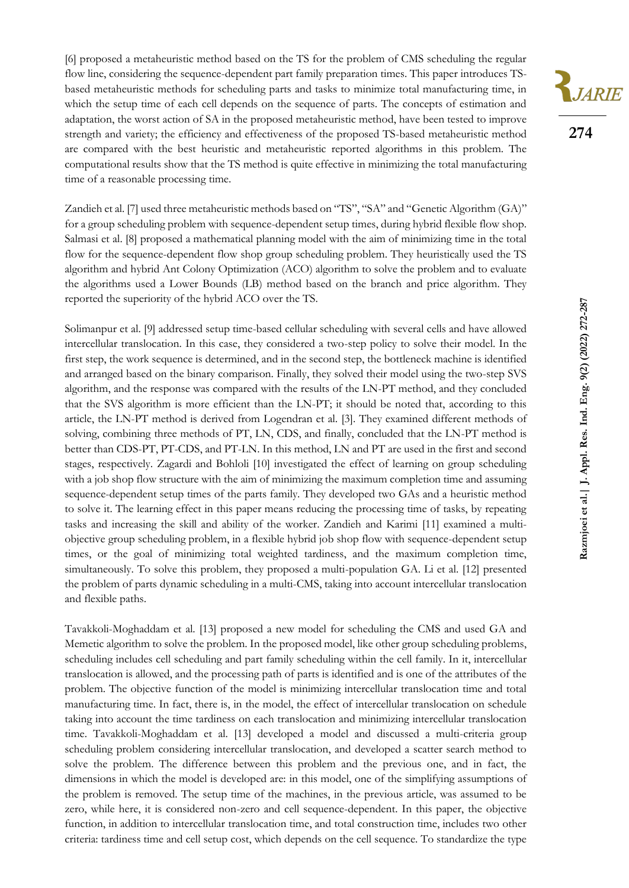[6] proposed a metaheuristic method based on the TS for the problem of CMS scheduling the regular flow line, considering the sequence-dependent part family preparation times. This paper introduces TSbased metaheuristic methods for scheduling parts and tasks to minimize total manufacturing time, in which the setup time of each cell depends on the sequence of parts. The concepts of estimation and adaptation, the worst action of SA in the proposed metaheuristic method, have been tested to improve strength and variety; the efficiency and effectiveness of the proposed TS-based metaheuristic method are compared with the best heuristic and metaheuristic reported algorithms in this problem. The computational results show that the TS method is quite effective in minimizing the total manufacturing time of a reasonable processing time.

Zandieh et al. [7] used three metaheuristic methods based on "TS", "SA" and "Genetic Algorithm (GA)" for a group scheduling problem with sequence-dependent setup times, during hybrid flexible flow shop. Salmasi et al. [8] proposed a mathematical planning model with the aim of minimizing time in the total flow for the sequence-dependent flow shop group scheduling problem. They heuristically used the TS algorithm and hybrid Ant Colony Optimization (ACO) algorithm to solve the problem and to evaluate the algorithms used a Lower Bounds (LB) method based on the branch and price algorithm. They reported the superiority of the hybrid ACO over the TS.

Solimanpur et al. [9] addressed setup time-based cellular scheduling with several cells and have allowed intercellular translocation. In this case, they considered a two-step policy to solve their model. In the first step, the work sequence is determined, and in the second step, the bottleneck machine is identified and arranged based on the binary comparison. Finally, they solved their model using the two-step SVS algorithm, and the response was compared with the results of the LN-PT method, and they concluded that the SVS algorithm is more efficient than the LN-PT; it should be noted that, according to this article, the LN-PT method is derived from Logendran et al. [3]. They examined different methods of solving, combining three methods of PT, LN, CDS, and finally, concluded that the LN-PT method is better than CDS-PT, PT-CDS, and PT-LN. In this method, LN and PT are used in the first and second stages, respectively. Zagardi and Bohloli [10] investigated the effect of learning on group scheduling with a job shop flow structure with the aim of minimizing the maximum completion time and assuming sequence-dependent setup times of the parts family. They developed two GAs and a heuristic method to solve it. The learning effect in this paper means reducing the processing time of tasks, by repeating tasks and increasing the skill and ability of the worker. Zandieh and Karimi [11] examined a multiobjective group scheduling problem, in a flexible hybrid job shop flow with sequence-dependent setup times, or the goal of minimizing total weighted tardiness, and the maximum completion time, simultaneously. To solve this problem, they proposed a multi-population GA. Li et al. [12] presented the problem of parts dynamic scheduling in a multi-CMS, taking into account intercellular translocation and flexible paths.

Tavakkoli-Moghaddam et al. [13] proposed a new model for scheduling the CMS and used GA and Memetic algorithm to solve the problem. In the proposed model, like other group scheduling problems, scheduling includes cell scheduling and part family scheduling within the cell family. In it, intercellular translocation is allowed, and the processing path of parts is identified and is one of the attributes of the problem. The objective function of the model is minimizing intercellular translocation time and total manufacturing time. In fact, there is, in the model, the effect of intercellular translocation on schedule taking into account the time tardiness on each translocation and minimizing intercellular translocation time. Tavakkoli-Moghaddam et al. [13] developed a model and discussed a multi-criteria group scheduling problem considering intercellular translocation, and developed a scatter search method to solve the problem. The difference between this problem and the previous one, and in fact, the dimensions in which the model is developed are: in this model, one of the simplifying assumptions of the problem is removed. The setup time of the machines, in the previous article, was assumed to be zero, while here, it is considered non-zero and cell sequence-dependent. In this paper, the objective function, in addition to intercellular translocation time, and total construction time, includes two other criteria: tardiness time and cell setup cost, which depends on the cell sequence. To standardize the type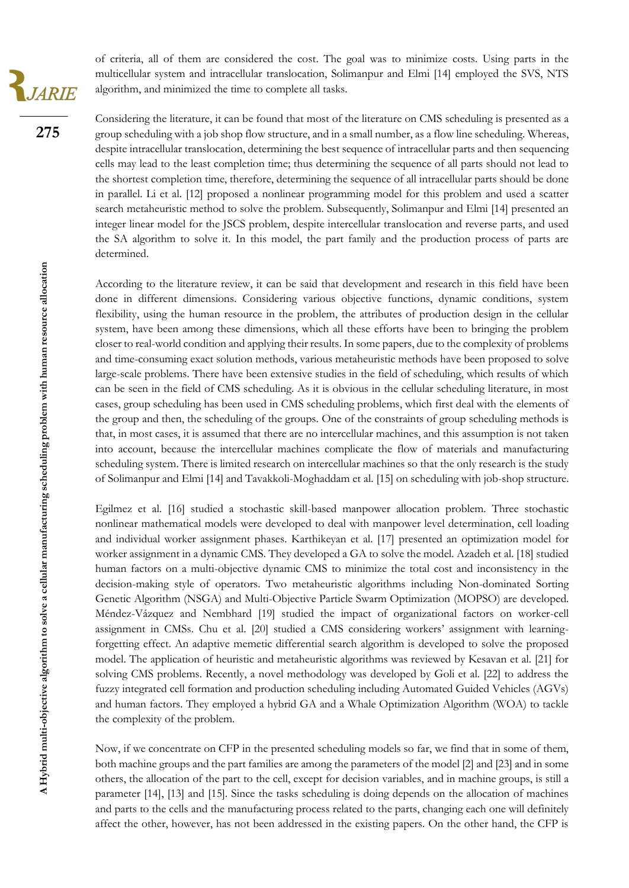of criteria, all of them are considered the cost. The goal was to minimize costs. Using parts in the multicellular system and intracellular translocation, Solimanpur and Elmi [14] employed the SVS, NTS algorithm, and minimized the time to complete all tasks.

Considering the literature, it can be found that most of the literature on CMS scheduling is presented as a group scheduling with a job shop flow structure, and in a small number, as a flow line scheduling. Whereas, despite intracellular translocation, determining the best sequence of intracellular parts and then sequencing cells may lead to the least completion time; thus determining the sequence of all parts should not lead to the shortest completion time, therefore, determining the sequence of all intracellular parts should be done in parallel. Li et al. [12] proposed a nonlinear programming model for this problem and used a scatter search metaheuristic method to solve the problem. Subsequently, Solimanpur and Elmi [14] presented an integer linear model for the JSCS problem, despite intercellular translocation and reverse parts, and used the SA algorithm to solve it. In this model, the part family and the production process of parts are determined.

According to the literature review, it can be said that development and research in this field have been done in different dimensions. Considering various objective functions, dynamic conditions, system flexibility, using the human resource in the problem, the attributes of production design in the cellular system, have been among these dimensions, which all these efforts have been to bringing the problem closer to real-world condition and applying their results. In some papers, due to the complexity of problems and time-consuming exact solution methods, various metaheuristic methods have been proposed to solve large-scale problems. There have been extensive studies in the field of scheduling, which results of which can be seen in the field of CMS scheduling. As it is obvious in the cellular scheduling literature, in most cases, group scheduling has been used in CMS scheduling problems, which first deal with the elements of the group and then, the scheduling of the groups. One of the constraints of group scheduling methods is that, in most cases, it is assumed that there are no intercellular machines, and this assumption is not taken into account, because the intercellular machines complicate the flow of materials and manufacturing scheduling system. There is limited research on intercellular machines so that the only research is the study of Solimanpur and Elmi [14] and Tavakkoli-Moghaddam et al. [15] on scheduling with job-shop structure.

Egilmez et al. [16] studied a stochastic skill-based manpower allocation problem. Three stochastic nonlinear mathematical models were developed to deal with manpower level determination, cell loading and individual worker assignment phases. Karthikeyan et al. [17] presented an optimization model for worker assignment in a dynamic CMS. They developed a GA to solve the model. Azadeh et al. [18] studied human factors on a multi-objective dynamic CMS to minimize the total cost and inconsistency in the decision-making style of operators. Two metaheuristic algorithms including Non-dominated Sorting Genetic Algorithm (NSGA) and Multi-Objective Particle Swarm Optimization (MOPSO) are developed. Méndez-Vázquez and Nembhard [19] studied the impact of organizational factors on worker-cell assignment in CMSs. Chu et al. [20] studied a CMS considering workers' assignment with learningforgetting effect. An adaptive memetic differential search algorithm is developed to solve the proposed model. The application of heuristic and metaheuristic algorithms was reviewed by Kesavan et al. [21] for solving CMS problems. Recently, a novel methodology was developed by Goli et al. [22] to address the fuzzy integrated cell formation and production scheduling including Automated Guided Vehicles (AGVs) and human factors. They employed a hybrid GA and a Whale Optimization Algorithm (WOA) to tackle the complexity of the problem.

Now, if we concentrate on CFP in the presented scheduling models so far, we find that in some of them, both machine groups and the part families are among the parameters of the model [2] and [23] and in some others, the allocation of the part to the cell, except for decision variables, and in machine groups, is still a parameter [14], [13] and [15]. Since the tasks scheduling is doing depends on the allocation of machines and parts to the cells and the manufacturing process related to the parts, changing each one will definitely affect the other, however, has not been addressed in the existing papers. On the other hand, the CFP is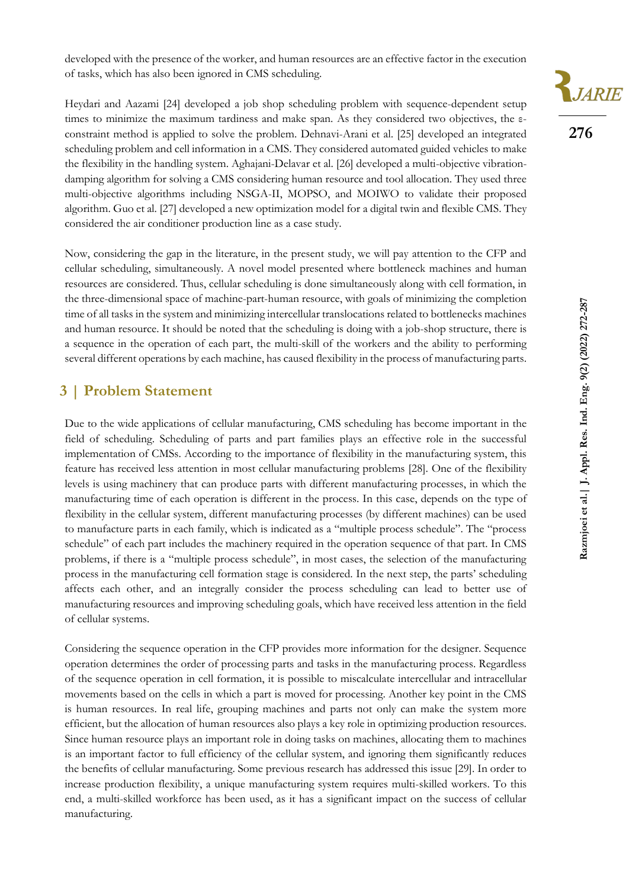developed with the presence of the worker, and human resources are an effective factor in the execution of tasks, which has also been ignored in CMS scheduling.

Heydari and Aazami [24] developed a job shop scheduling problem with sequence-dependent setup times to minimize the maximum tardiness and make span. As they considered two objectives, the εconstraint method is applied to solve the problem. Dehnavi-Arani et al. [25] developed an integrated scheduling problem and cell information in a CMS. They considered automated guided vehicles to make the flexibility in the handling system. Aghajani-Delavar et al. [26] developed a multi-objective vibrationdamping algorithm for solving a CMS considering human resource and tool allocation. They used three multi-objective algorithms including NSGA-II, MOPSO, and MOIWO to validate their proposed algorithm. Guo et al. [27] developed a new optimization model for a digital twin and flexible CMS. They considered the air conditioner production line as a case study.

Now, considering the gap in the literature, in the present study, we will pay attention to the CFP and cellular scheduling, simultaneously. A novel model presented where bottleneck machines and human resources are considered. Thus, cellular scheduling is done simultaneously along with cell formation, in the three-dimensional space of machine-part-human resource, with goals of minimizing the completion time of all tasks in the system and minimizing intercellular translocations related to bottlenecks machines and human resource. It should be noted that the scheduling is doing with a job-shop structure, there is a sequence in the operation of each part, the multi-skill of the workers and the ability to performing several different operations by each machine, has caused flexibility in the process of manufacturing parts.

# **3 | Problem Statement**

Due to the wide applications of cellular manufacturing, CMS scheduling has become important in the field of scheduling. Scheduling of parts and part families plays an effective role in the successful implementation of CMSs. According to the importance of flexibility in the manufacturing system, this feature has received less attention in most cellular manufacturing problems [28]. One of the flexibility levels is using machinery that can produce parts with different manufacturing processes, in which the manufacturing time of each operation is different in the process. In this case, depends on the type of flexibility in the cellular system, different manufacturing processes (by different machines) can be used to manufacture parts in each family, which is indicated as a "multiple process schedule". The "process schedule" of each part includes the machinery required in the operation sequence of that part. In CMS problems, if there is a "multiple process schedule", in most cases, the selection of the manufacturing process in the manufacturing cell formation stage is considered. In the next step, the parts' scheduling affects each other, and an integrally consider the process scheduling can lead to better use of manufacturing resources and improving scheduling goals, which have received less attention in the field of cellular systems.

Considering the sequence operation in the CFP provides more information for the designer. Sequence operation determines the order of processing parts and tasks in the manufacturing process. Regardless of the sequence operation in cell formation, it is possible to miscalculate intercellular and intracellular movements based on the cells in which a part is moved for processing. Another key point in the CMS is human resources. In real life, grouping machines and parts not only can make the system more efficient, but the allocation of human resources also plays a key role in optimizing production resources. Since human resource plays an important role in doing tasks on machines, allocating them to machines is an important factor to full efficiency of the cellular system, and ignoring them significantly reduces the benefits of cellular manufacturing. Some previous research has addressed this issue [29]. In order to increase production flexibility, a unique manufacturing system requires multi-skilled workers. To this end, a multi-skilled workforce has been used, as it has a significant impact on the success of cellular manufacturing.

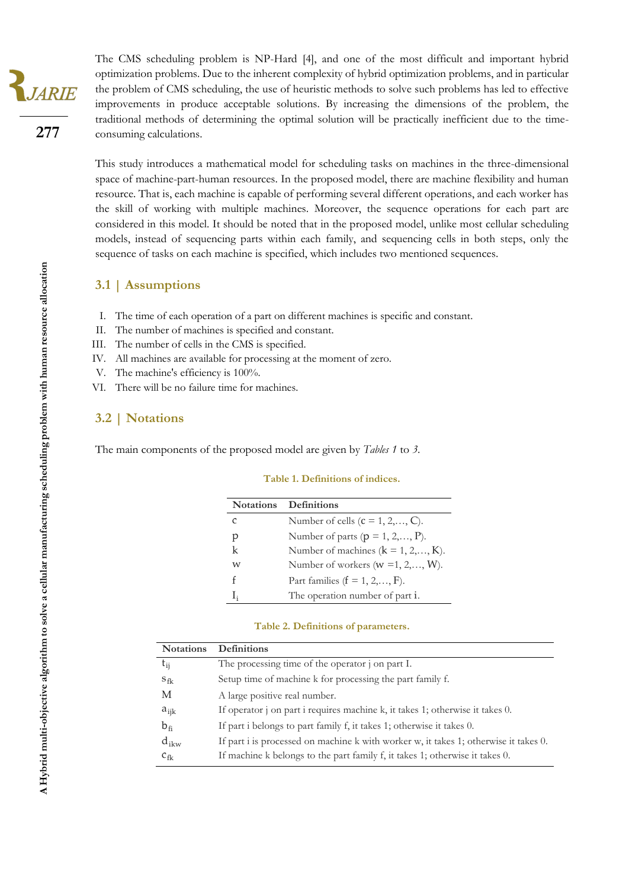The CMS scheduling problem is NP-Hard [4], and one of the most difficult and important hybrid optimization problems. Due to the inherent complexity of hybrid optimization problems, and in particular the problem of CMS scheduling, the use of heuristic methods to solve such problems has led to effective improvements in produce acceptable solutions. By increasing the dimensions of the problem, the traditional methods of determining the optimal solution will be practically inefficient due to the timeconsuming calculations.

This study introduces a mathematical model for scheduling tasks on machines in the three-dimensional space of machine-part-human resources. In the proposed model, there are machine flexibility and human resource. That is, each machine is capable of performing several different operations, and each worker has the skill of working with multiple machines. Moreover, the sequence operations for each part are considered in this model. It should be noted that in the proposed model, unlike most cellular scheduling models, instead of sequencing parts within each family, and sequencing cells in both steps, only the sequence of tasks on each machine is specified, which includes two mentioned sequences.

## **3.1 | Assumptions**

- I. The time of each operation of a part on different machines is specific and constant.
- II. The number of machines is specified and constant.
- III. The number of cells in the CMS is specified.
- IV. All machines are available for processing at the moment of zero.
- V. The machine's efficiency is 100%.
- VI. There will be no failure time for machines.

### **3.2 | Notations**

The main components of the proposed model are given by *Tables 1* to *3*.

#### **Table 1. Definitions of indices.**

| <b>Notations</b> | <b>Definitions</b>                           |
|------------------|----------------------------------------------|
| C                | Number of cells $(c = 1, 2, \ldots, C)$ .    |
| р                | Number of parts ( $p = 1, 2, \ldots, P$ ).   |
| k                | Number of machines $(k = 1, 2, \ldots, K)$ . |
| W                | Number of workers ( $w = 1, 2, \ldots, W$ ). |
| f                | Part families ( $f = 1, 2, \ldots, F$ ).     |
| Ŀ                | The operation number of part i.              |

#### **Table 2. Definitions of parameters.**

| <b>Notations</b> | <b>Definitions</b>                                                                   |
|------------------|--------------------------------------------------------------------------------------|
| $t_{ij}$         | The processing time of the operator j on part I.                                     |
| $S_{\text{fk}}$  | Setup time of machine k for processing the part family f.                            |
| M                | A large positive real number.                                                        |
| $a_{ijk}$        | If operator j on part i requires machine k, it takes 1; otherwise it takes 0.        |
| $b_{fi}$         | If part i belongs to part family f, it takes 1; otherwise it takes 0.                |
| $d_{ikw}$        | If part i is processed on machine k with worker w, it takes 1; otherwise it takes 0. |
| $c_{fk}$         | If machine k belongs to the part family f, it takes 1; otherwise it takes 0.         |

JARIE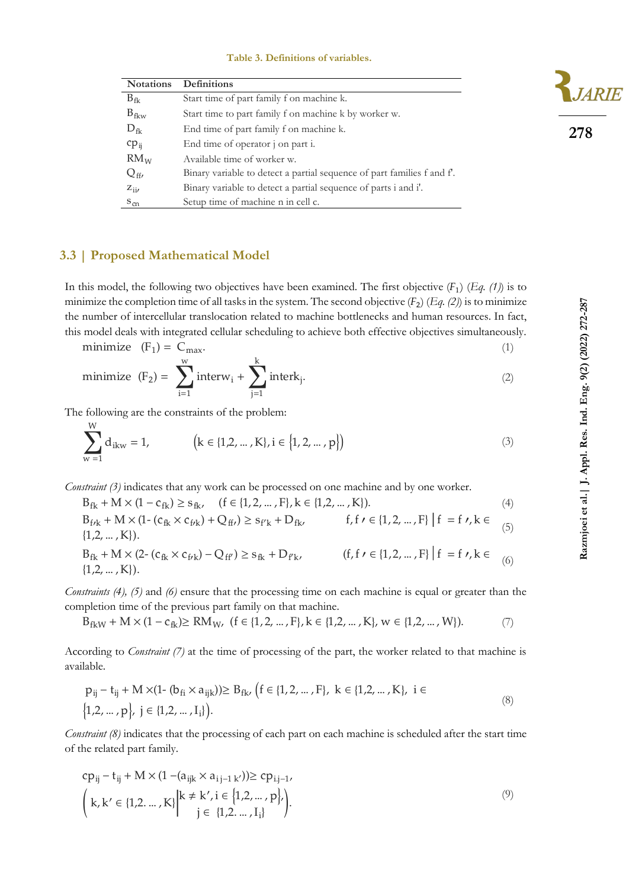#### **Table 3. Definitions of variables.**

| <b>Notations</b> | <b>Definitions</b>                                                     |
|------------------|------------------------------------------------------------------------|
| $B_{fk}$         | Start time of part family f on machine k.                              |
| $B_{fkw}$        | Start time to part family f on machine k by worker w.                  |
| $D_{\text{fk}}$  | End time of part family f on machine k.                                |
| $cp_{ii}$        | End time of operator j on part i.                                      |
| RM <sub>W</sub>  | Available time of worker w.                                            |
| $Q_{\text{ff}}$  | Binary variable to detect a partial sequence of part families f and f. |
| $Z_{ii}$         | Binary variable to detect a partial sequence of parts i and i'.        |
| $S_{cn}$         | Setup time of machine n in cell c.                                     |

### **3.3 | Proposed Mathematical Model**

In this model, the following two objectives have been examined. The first objective  $(F_1)$   $(Eq. (1))$  is to minimize the completion time of all tasks in the system. The second objective  $(F_2)$   $(E_4, (2))$  is to minimize the number of intercellular translocation related to machine bottlenecks and human resources. In fact, this model deals with integrated cellular scheduling to achieve both effective objectives simultaneously.

minimize 
$$
(F_1) = C_{\text{max}}
$$
.  
\nminimize  $(F_2) = \sum_{k=1}^{W} \text{interv.} + \sum_{k=1}^{W} \text{interk}$ . (2)

minimize 
$$
(F_2) = \sum_{i=1}
$$
interw<sub>i</sub> +  $\sum_{j=1}$ interk<sub>j</sub>. (2)

The following are the constraints of the problem:

W

$$
\sum_{w=1}^{N} d_{ikw} = 1, \qquad \left(k \in \{1, 2, ..., K\}, i \in \{1, 2, ..., p\}\right)
$$
 (3)

*Constraint (3)* indicates that any work can be processed on one machine and by one worker.

 $B_{fk} + M \times (1 - c_{fk}) \ge s_{fk}$ ,  $(f \in \{1, 2, ..., F\}, k \in \{1, 2, ..., K\}).$  (4)  $B_{f/k} + M \times (1 - (c_{fk} \times c_{f/k}) + Q_{ff}) \ge s_{f'k} + D_{fk},$  f, f  $\prime \in \{1, 2, ..., F\}$  | f = f  $\prime$ , k  $\in$  $\{1,2,\ldots,K\}$ ). (5)  $B_{fk} + M \times (2 - (c_{fk} \times c_{frk}) - Q_{ff'}) \ge s_{fk} + D_{f'k'}$  (f, f  $\prime \in \{1, 2, ..., F\}$  | f = f  $\prime$ , k  $\in$  $\{1,2,\ldots,K\}$ ). (6)

*Constraints (4), (5)* and *(6)* ensure that the processing time on each machine is equal or greater than the completion time of the previous part family on that machine.

 $B_{fkw} + M \times (1 - c_{fk}) \ge RM_W$ ,  $(f \in \{1, 2, ..., F\}, k \in \{1, 2, ..., K\}, w \in \{1, 2, ..., W\}).$  (7)

According to *Constraint (7)* at the time of processing of the part, the worker related to that machine is available.

$$
p_{ij} - t_{ij} + M \times (1 - (b_{fi} \times a_{ijk})) \ge B_{fk}, (f \in \{1, 2, ..., F\}, k \in \{1, 2, ..., K\}, i \in \{1, 2, ..., p\}, j \in \{1, 2, ..., I_i\}).
$$
\n(8)

*Constraint (8)* indicates that the processing of each part on each machine is scheduled after the start time of the related part family.

$$
cp_{ij} - t_{ij} + M \times (1 - (a_{ijk} \times a_{i j-1 k'})) \ge cp_{i,j-1},
$$
  

$$
\left(k, k' \in \{1, 2, ..., K\} \middle| \begin{matrix} k \neq k', i \in \{1, 2, ..., p\}, \\ j \in \{1, 2, ..., I_i\} \end{matrix}\right).
$$

$$
(9)
$$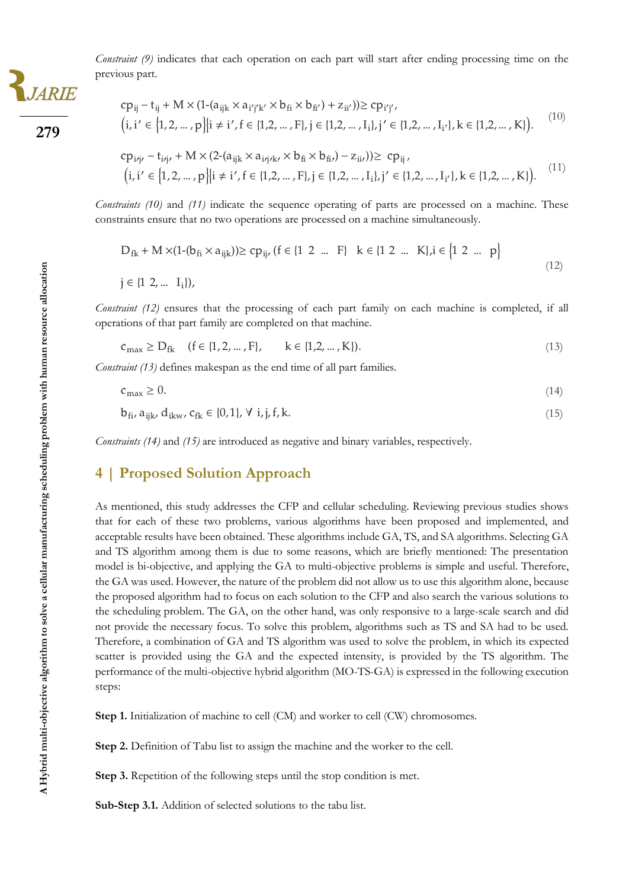

**279**

*Constraint (9)* indicates that each operation on each part will start after ending processing time on the previous part.

$$
cp_{ij} - t_{ij} + M \times (1-(a_{ijk} \times a_{i'j'k'} \times b_{fi} \times b_{fi'}) + z_{ii'}) \ge cp_{i'j'},
$$
  
(i, i' \in {1,2,..., p}|i \ne i', f \in {1,2,..., F}, j \in {1,2,..., I\_i}, j' \in {1,2,..., I\_{i'}}, k \in {1,2,..., K}. (10)

$$
cp_{i\dot{\eta}}, -t_{i\dot{\eta}}, + M \times (2-(a_{ijk} \times a_{i\dot{\eta}\kappa} \times b_{fi} \times b_{fi\prime}) - z_{ii\prime})) \ge cp_{ij},
$$
  
(i, i' \in {1,2,...,p}|i \neq i', f \in {1,2,...,F}, j \in {1,2,...,I\_i}, j' \in {1,2,...,I\_{i'}}, k \in {1,2,...,K}). (11)

*Constraints (10)* and (11) indicate the sequence operating of parts are processed on a machine. These constraints ensure that no two operations are processed on a machine simultaneously.

$$
D_{fk} + M \times (1 - (b_{fi} \times a_{ijk})) \ge cp_{ij}, (f \in \{1 \ 2 \ ... \ F\} \ k \in \{1 \ 2 \ ... \ K\}, i \in \{1 \ 2 \ ... \ p\}
$$
\n
$$
j \in \{1 \ 2, ... \ I_i\}),
$$
\n
$$
(12)
$$

*Constraint (12)* ensures that the processing of each part family on each machine is completed, if all operations of that part family are completed on that machine.

$$
c_{\max} \ge D_{fk} \quad (f \in \{1, 2, \dots, F\}, \qquad k \in \{1, 2, \dots, K\}).
$$
\n(13)

*Constraint (13)* defines makespan as the end time of all part families.

$$
c_{\text{max}} \ge 0. \tag{14}
$$

 $b_{fi}$ ,  $a_{ijk}$ ,  $d_{ikw}$ ,  $c_{fk} \in \{0,1\}$ ,  $\forall$  i, j, f, k. (15)

*Constraints (14)* and *(15)* are introduced as negative and binary variables, respectively.

# **4 | Proposed Solution Approach**

As mentioned, this study addresses the CFP and cellular scheduling. Reviewing previous studies shows that for each of these two problems, various algorithms have been proposed and implemented, and acceptable results have been obtained. These algorithms include GA, TS, and SA algorithms. Selecting GA and TS algorithm among them is due to some reasons, which are briefly mentioned: The presentation model is bi-objective, and applying the GA to multi-objective problems is simple and useful. Therefore, the GA was used. However, the nature of the problem did not allow us to use this algorithm alone, because the proposed algorithm had to focus on each solution to the CFP and also search the various solutions to the scheduling problem. The GA, on the other hand, was only responsive to a large-scale search and did not provide the necessary focus. To solve this problem, algorithms such as TS and SA had to be used. Therefore, a combination of GA and TS algorithm was used to solve the problem, in which its expected scatter is provided using the GA and the expected intensity, is provided by the TS algorithm. The performance of the multi-objective hybrid algorithm (MO-TS-GA) is expressed in the following execution steps:

**Step 1.** Initialization of machine to cell (CM) and worker to cell (CW) chromosomes.

**Step 2.** Definition of Tabu list to assign the machine and the worker to the cell.

**Step 3.** Repetition of the following steps until the stop condition is met.

**Sub-Step 3.1.** Addition of selected solutions to the tabu list.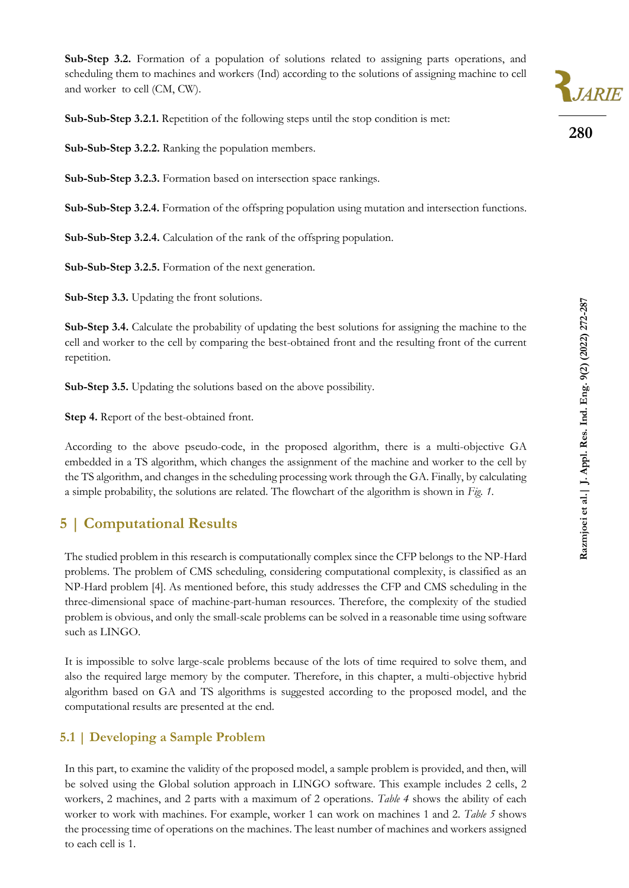**Sub-Step 3.2.** Formation of a population of solutions related to assigning parts operations, and scheduling them to machines and workers (Ind) according to the solutions of assigning machine to cell and worker to cell (CM, CW).

Sub-Sub-Step 3.2.1. Repetition of the following steps until the stop condition is met:

**Sub-Sub-Step 3.2.2.** Ranking the population members.

**Sub-Sub-Step 3.2.3.** Formation based on intersection space rankings.

**Sub-Sub-Step 3.2.4.** Formation of the offspring population using mutation and intersection functions.

**Sub-Sub-Step 3.2.4.** Calculation of the rank of the offspring population.

**Sub-Sub-Step 3.2.5.** Formation of the next generation.

**Sub-Step 3.3.** Updating the front solutions.

**Sub-Step 3.4.** Calculate the probability of updating the best solutions for assigning the machine to the cell and worker to the cell by comparing the best-obtained front and the resulting front of the current repetition.

**Sub-Step 3.5.** Updating the solutions based on the above possibility.

**Step 4.** Report of the best-obtained front.

According to the above pseudo-code, in the proposed algorithm, there is a multi-objective GA embedded in a TS algorithm, which changes the assignment of the machine and worker to the cell by the TS algorithm, and changes in the scheduling processing work through the GA. Finally, by calculating a simple probability, the solutions are related. The flowchart of the algorithm is shown in *Fig. 1*.

# **5 | Computational Results**

The studied problem in this research is computationally complex since the CFP belongs to the NP-Hard problems. The problem of CMS scheduling, considering computational complexity, is classified as an NP-Hard problem [4]. As mentioned before, this study addresses the CFP and CMS scheduling in the three-dimensional space of machine-part-human resources. Therefore, the complexity of the studied problem is obvious, and only the small-scale problems can be solved in a reasonable time using software such as LINGO.

It is impossible to solve large-scale problems because of the lots of time required to solve them, and also the required large memory by the computer. Therefore, in this chapter, a multi-objective hybrid algorithm based on GA and TS algorithms is suggested according to the proposed model, and the computational results are presented at the end.

# **5.1 | Developing a Sample Problem**

In this part, to examine the validity of the proposed model, a sample problem is provided, and then, will be solved using the Global solution approach in LINGO software. This example includes 2 cells, 2 workers, 2 machines, and 2 parts with a maximum of 2 operations. *Table 4* shows the ability of each worker to work with machines. For example, worker 1 can work on machines 1 and 2. *Table 5* shows the processing time of operations on the machines. The least number of machines and workers assigned to each cell is 1.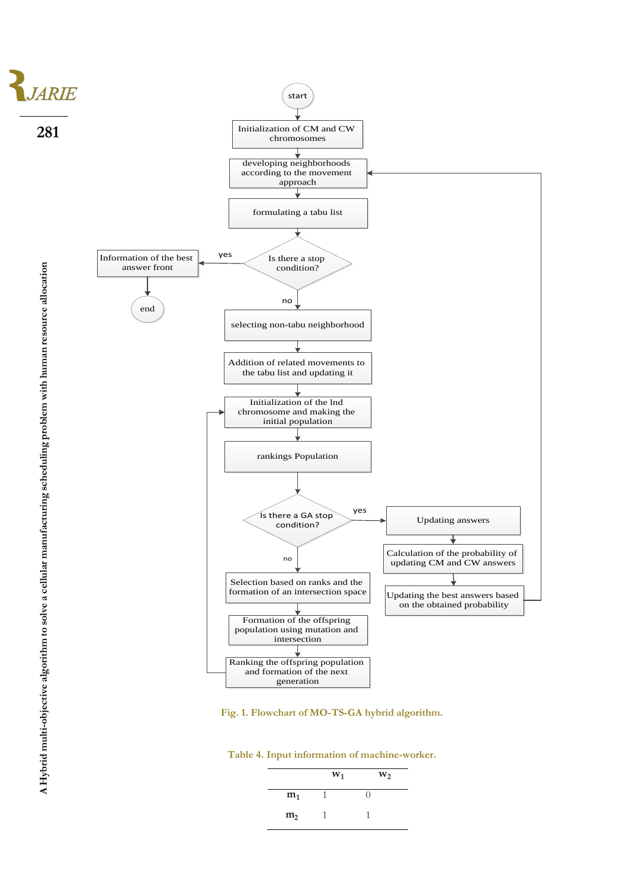

**Fig. 1. Flowchart of MO -TS -GA hybrid algorithm.**

|  |  | Table 4. Input information of machine-worker. |  |  |
|--|--|-----------------------------------------------|--|--|
|--|--|-----------------------------------------------|--|--|

|                | $W_1$ | $W_2$ |
|----------------|-------|-------|
| m <sub>1</sub> |       |       |
| m <sub>2</sub> |       |       |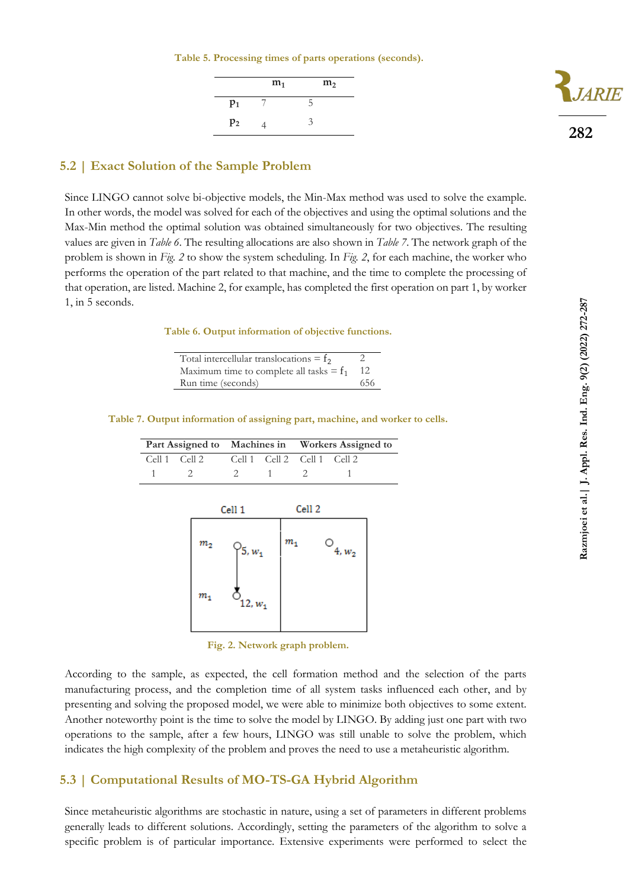**Table 5. Processing times of parts operations (seconds).**

|                | $m_1$ | m <sub>2</sub> |
|----------------|-------|----------------|
| $p_1$          |       | 5              |
| p <sub>2</sub> |       | 3              |



# **5.2 | Exact Solution of the Sample Problem**

Since LINGO cannot solve bi-objective models, the Min-Max method was used to solve the example. In other words, the model was solved for each of the objectives and using the optimal solutions and the Max-Min method the optimal solution was obtained simultaneously for two objectives. The resulting values are given in *Table 6*. The resulting allocations are also shown in *Table 7*. The network graph of the problem is shown in *Fig. 2* to show the system scheduling. In *Fig. 2*, for each machine, the worker who performs the operation of the part related to that machine, and the time to complete the processing of that operation, are listed. Machine 2, for example, has completed the first operation on part 1, by worker 1, in 5 seconds.

**Table 6. Output information of objective functions.**

| Total intercellular translocations = $f_2$ |     |
|--------------------------------------------|-----|
| Maximum time to complete all tasks $= f_1$ |     |
| Run time (seconds)                         | 656 |

### **Table 7. Output information of assigning part, machine, and worker to cells.**

|                                           |       | Part Assigned to Machines in Workers Assigned to |  |  |  |
|-------------------------------------------|-------|--------------------------------------------------|--|--|--|
| Cell 1 Cell 2 Cell 1 Cell 2 Cell 1 Cell 2 |       |                                                  |  |  |  |
| $1 \t 2$                                  | 2 1 2 |                                                  |  |  |  |

|             | Cell 1            | Cell <sub>2</sub> |               |
|-------------|-------------------|-------------------|---------------|
| $m_{\rm 2}$ | $\sqrt{5}, w_1$   | $m_{1}$           | О<br>$4, w_2$ |
| $m_{\rm 1}$ | $\circ_{12, w_1}$ |                   |               |

**Fig. 2. Network graph problem.**

According to the sample, as expected, the cell formation method and the selection of the parts manufacturing process, and the completion time of all system tasks influenced each other, and by presenting and solving the proposed model, we were able to minimize both objectives to some extent. Another noteworthy point is the time to solve the model by LINGO. By adding just one part with two operations to the sample, after a few hours, LINGO was still unable to solve the problem, which indicates the high complexity of the problem and proves the need to use a metaheuristic algorithm.

### **5.3 | Computational Results of MO-TS-GA Hybrid Algorithm**

Since metaheuristic algorithms are stochastic in nature, using a set of parameters in different problems generally leads to different solutions. Accordingly, setting the parameters of the algorithm to solve a specific problem is of particular importance. Extensive experiments were performed to select the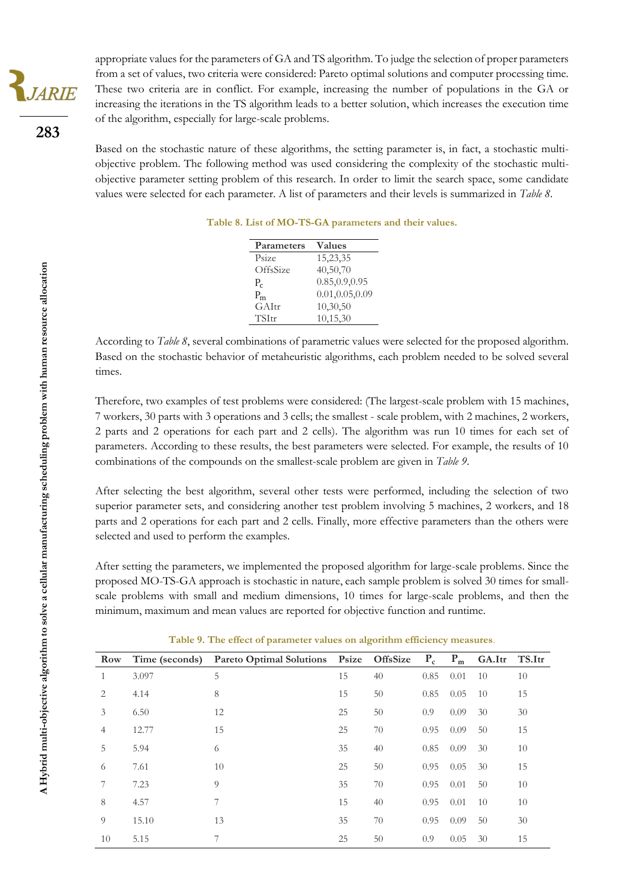appropriate values for the parameters of GA and TS algorithm. To judge the selection of proper parameters from a set of values, two criteria were considered: Pareto optimal solutions and computer processing time. These two criteria are in conflict. For example, increasing the number of populations in the GA or increasing the iterations in the TS algorithm leads to a better solution, which increases the execution time of the algorithm, especially for large-scale problems.

Based on the stochastic nature of these algorithms, the setting parameter is, in fact, a stochastic multiobjective problem. The following method was used considering the complexity of the stochastic multiobjective parameter setting problem of this research. In order to limit the search space, some candidate values were selected for each parameter. A list of parameters and their levels is summarized in *Table 8*.

| Parameters | <b>Values</b>    |
|------------|------------------|
| Psize      | 15,23,35         |
| OffsSize   | 40,50,70         |
| $P_c$      | 0.85, 0.9, 0.95  |
| $P_{m}$    | 0.01, 0.05, 0.09 |
| GAItr      | 10,30,50         |
| TSItr      | 10,15,30         |
|            |                  |

**Table 8. List of MO-TS-GA parameters and their values.**

According to *Table 8*, several combinations of parametric values were selected for the proposed algorithm. Based on the stochastic behavior of metaheuristic algorithms, each problem needed to be solved several times.

Therefore, two examples of test problems were considered: (The largest-scale problem with 15 machines, 7 workers, 30 parts with 3 operations and 3 cells; the smallest - scale problem, with 2 machines, 2 workers, 2 parts and 2 operations for each part and 2 cells). The algorithm was run 10 times for each set of parameters. According to these results, the best parameters were selected. For example, the results of 10 combinations of the compounds on the smallest-scale problem are given in *Table 9*.

After selecting the best algorithm, several other tests were performed, including the selection of two superior parameter sets, and considering another test problem involving 5 machines, 2 workers, and 18 parts and 2 operations for each part and 2 cells. Finally, more effective parameters than the others were selected and used to perform the examples.

After setting the parameters, we implemented the proposed algorithm for large-scale problems. Since the proposed MO-TS-GA approach is stochastic in nature, each sample problem is solved 30 times for smallscale problems with small and medium dimensions, 10 times for large-scale problems, and then the minimum, maximum and mean values are reported for objective function and runtime.

| Row            | Time (seconds) | Pareto Optimal Solutions Psize OffsSize |    |    | $P_c$ | $P_m$ | GA.Itr | TS.Itr |
|----------------|----------------|-----------------------------------------|----|----|-------|-------|--------|--------|
| 1              | 3.097          | 5                                       | 15 | 40 | 0.85  | 0.01  | 10     | 10     |
| 2              | 4.14           | 8                                       | 15 | 50 | 0.85  | 0.05  | 10     | 15     |
| 3              | 6.50           | 12                                      | 25 | 50 | 0.9   | 0.09  | 30     | 30     |
| $\overline{4}$ | 12.77          | 15                                      | 25 | 70 | 0.95  | 0.09  | 50     | 15     |
| 5              | 5.94           | 6                                       | 35 | 40 | 0.85  | 0.09  | 30     | 10     |
| 6              | 7.61           | 10                                      | 25 | 50 | 0.95  | 0.05  | 30     | 15     |
|                | 7.23           | 9                                       | 35 | 70 | 0.95  | 0.01  | 50     | 10     |
| 8              | 4.57           | 7                                       | 15 | 40 | 0.95  | 0.01  | 10     | 10     |
| $\overline{O}$ | 15.10          | 13                                      | 35 | 70 | 0.95  | 0.09  | 50     | 30     |
| 10             | 5.15           |                                         | 25 | 50 | 0.9   | 0.05  | 30     | 15     |

**Table 9. The effect of parameter values on algorithm efficiency measures**.

**283**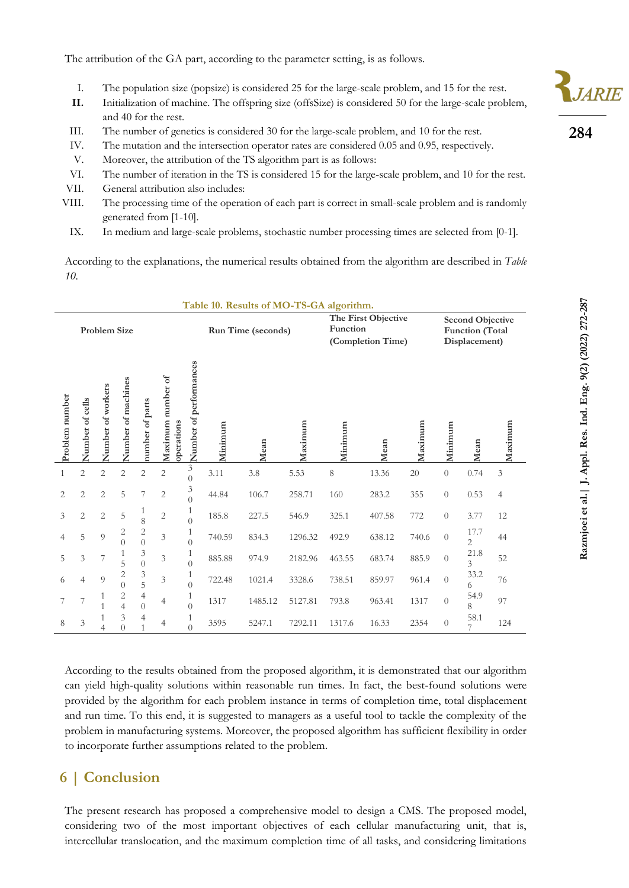The attribution of the GA part, according to the parameter setting, is as follows.

- I. The population size (popsize) is considered 25 for the large-scale problem, and 15 for the rest.
- **II.** Initialization of machine. The offspring size (offsSize) is considered 50 for the large-scale problem, and 40 for the rest.
- III. The number of genetics is considered 30 for the large-scale problem, and 10 for the rest.
- IV. The mutation and the intersection operator rates are considered 0.05 and 0.95, respectively.
- V. Moreover, the attribution of the TS algorithm part is as follows:
- VI. The number of iteration in the TS is considered 15 for the large-scale problem, and 10 for the rest.
- VII. General attribution also includes:
- VIII. The processing time of the operation of each part is correct in small-scale problem and is randomly generated from [1-10].
- IX. In medium and large-scale problems, stochastic number processing times are selected from [0-1].

According to the explanations, the numerical results obtained from the algorithm are described in *Table 10*.

|                                                                                                                                                                                                                                                                                                                                                                                                                                                                                                                                                                                                        |                   |                                |                                         |                                    |                                 |                                           |         | Table 10. Results of MO-TS-GA algorithm.                                                                                                                                                                                                                                                                 |         |           |        |                                                                    |                  |           |                             |
|--------------------------------------------------------------------------------------------------------------------------------------------------------------------------------------------------------------------------------------------------------------------------------------------------------------------------------------------------------------------------------------------------------------------------------------------------------------------------------------------------------------------------------------------------------------------------------------------------------|-------------------|--------------------------------|-----------------------------------------|------------------------------------|---------------------------------|-------------------------------------------|---------|----------------------------------------------------------------------------------------------------------------------------------------------------------------------------------------------------------------------------------------------------------------------------------------------------------|---------|-----------|--------|--------------------------------------------------------------------|------------------|-----------|-----------------------------|
| Problem Size                                                                                                                                                                                                                                                                                                                                                                                                                                                                                                                                                                                           |                   |                                |                                         |                                    | Run Time (seconds)              |                                           |         | The First Objective<br>Function<br>(Completion Time)                                                                                                                                                                                                                                                     |         |           |        | <b>Second Objective</b><br><b>Function</b> (Total<br>Displacement) |                  |           |                             |
| Problem number                                                                                                                                                                                                                                                                                                                                                                                                                                                                                                                                                                                         | Number of cells   | Number of workers              | Number of machines                      | number of parts                    | Maximum number of<br>operations | Number of performances                    | Minimum | Mean                                                                                                                                                                                                                                                                                                     | Maximum | Minimum   | Mean   | Maximum                                                            | Minimum          | Mean      | Maximum                     |
| $\,1\,$                                                                                                                                                                                                                                                                                                                                                                                                                                                                                                                                                                                                | $\overline{c}$    | $\overline{c}$                 | $\sqrt{2}$                              | $\sqrt{2}$                         | $\sqrt{2}$                      | $\overline{\mathbf{3}}$<br>$\overline{0}$ | 3.11    | 3.8                                                                                                                                                                                                                                                                                                      | 5.53    | $\,$ $\,$ | 13.36  | 20                                                                 | $\boldsymbol{0}$ | 0.74      | $\ensuremath{\mathfrak{Z}}$ |
| $\overline{c}$                                                                                                                                                                                                                                                                                                                                                                                                                                                                                                                                                                                         | $\overline{2}$    | 2                              | 5                                       | 7                                  | $\mathbf{2}$                    | $\mathfrak{Z}$<br>$\overline{0}$          | 44.84   | 106.7                                                                                                                                                                                                                                                                                                    | 258.71  | 160       | 283.2  | 355                                                                | $\overline{0}$   | 0.53      | $\overline{4}$              |
| 3                                                                                                                                                                                                                                                                                                                                                                                                                                                                                                                                                                                                      | $\overline{2}$    | 2                              | 5                                       | $\mathbf{1}$<br>8                  | $\overline{c}$                  | $\mathbf{1}$<br>$\overline{0}$            | 185.8   | 227.5                                                                                                                                                                                                                                                                                                    | 546.9   | 325.1     | 407.58 | 772                                                                | $\overline{0}$   | 3.77      | 12                          |
| 4                                                                                                                                                                                                                                                                                                                                                                                                                                                                                                                                                                                                      | 5                 | 9                              | 2<br>$\overline{0}$                     | $\overline{c}$<br>$\boldsymbol{0}$ | 3                               | $\mathbf{1}$<br>$\overline{0}$            | 740.59  | 834.3                                                                                                                                                                                                                                                                                                    | 1296.32 | 492.9     | 638.12 | 740.6                                                              | $\boldsymbol{0}$ | 17.7<br>2 | 44                          |
| 5                                                                                                                                                                                                                                                                                                                                                                                                                                                                                                                                                                                                      | 3                 | 7                              | 1<br>5                                  | 3<br>$\boldsymbol{0}$              | 3                               | $\mathbf{1}$<br>$\overline{0}$            | 885.88  | 974.9                                                                                                                                                                                                                                                                                                    | 2182.96 | 463.55    | 683.74 | 885.9                                                              | $\theta$         | 21.8<br>3 | 52                          |
| 6                                                                                                                                                                                                                                                                                                                                                                                                                                                                                                                                                                                                      | $\overline{4}$    | 9                              | $\overline{c}$<br>$\theta$              | $\mathfrak{Z}$<br>5                | $\mathfrak{Z}$                  | 1<br>$\overline{0}$                       | 722.48  | 1021.4                                                                                                                                                                                                                                                                                                   | 3328.6  | 738.51    | 859.97 | 961.4                                                              | $\overline{0}$   | 33.2<br>6 | 76                          |
| 7                                                                                                                                                                                                                                                                                                                                                                                                                                                                                                                                                                                                      | 7                 | 1<br>$\mathbf{1}$              | $\mathbf{2}$<br>$\overline{4}$          | $\overline{4}$<br>$\theta$         | $\overline{4}$                  | $\mathbf{1}$<br>$\overline{0}$            | 1317    | 1485.12                                                                                                                                                                                                                                                                                                  | 5127.81 | 793.8     | 963.41 | 1317                                                               | $\boldsymbol{0}$ | 54.9<br>8 | 97                          |
| 8                                                                                                                                                                                                                                                                                                                                                                                                                                                                                                                                                                                                      | $\mathfrak{Z}$    | $\mathbf{1}$<br>$\overline{4}$ | $\ensuremath{\mathfrak{Z}}$<br>$\theta$ | $\overline{4}$<br>1                | $\overline{4}$                  | $\mathbf{1}$<br>$\overline{0}$            | 3595    | 5247.1                                                                                                                                                                                                                                                                                                   | 7292.11 | 1317.6    | 16.33  | 2354                                                               | $\theta$         | 58.1      | 124                         |
| According to the results obtained from the proposed algorithm, it is demonstrated that our algorithm<br>can yield high-quality solutions within reasonable run times. In fact, the best-found solutions were<br>provided by the algorithm for each problem instance in terms of completion time, total displacement<br>and run time. To this end, it is suggested to managers as a useful tool to tackle the complexity of the<br>problem in manufacturing systems. Moreover, the proposed algorithm has sufficient flexibility in order<br>to incorporate further assumptions related to the problem. |                   |                                |                                         |                                    |                                 |                                           |         |                                                                                                                                                                                                                                                                                                          |         |           |        |                                                                    |                  |           |                             |
| 6                                                                                                                                                                                                                                                                                                                                                                                                                                                                                                                                                                                                      | <b>Conclusion</b> |                                |                                         |                                    |                                 |                                           |         |                                                                                                                                                                                                                                                                                                          |         |           |        |                                                                    |                  |           |                             |
|                                                                                                                                                                                                                                                                                                                                                                                                                                                                                                                                                                                                        |                   |                                |                                         |                                    |                                 |                                           |         | The present research has proposed a comprehensive model to design a CMS. The proposed model,<br>considering two of the most important objectives of each cellular manufacturing unit, that is,<br>intercellular translocation, and the maximum completion time of all tasks, and considering limitations |         |           |        |                                                                    |                  |           |                             |

# **6 | Conclusion**

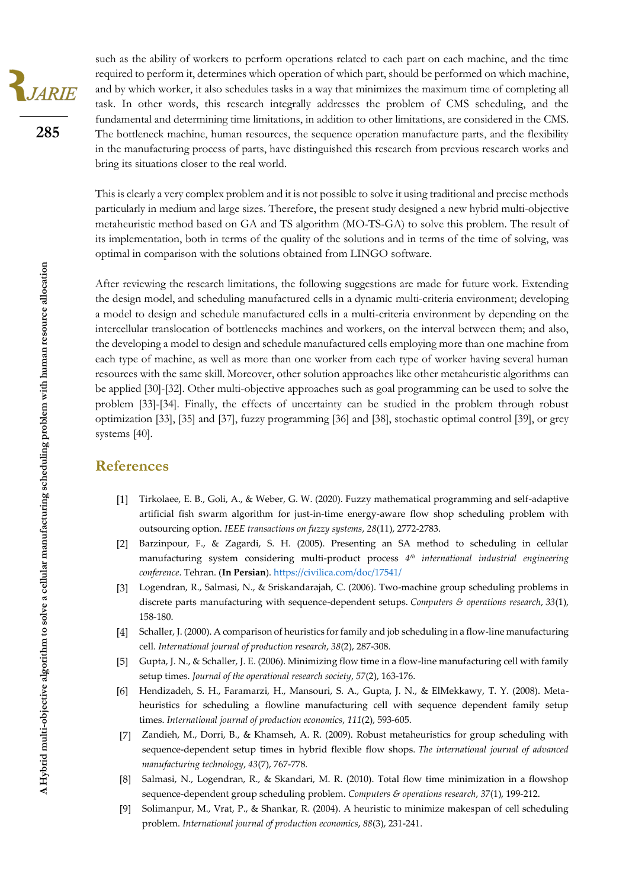such as the ability of workers to perform operations related to each part on each machine, and the time required to perform it, determines which operation of which part, should be performed on which machine, and by which worker, it also schedules tasks in a way that minimizes the maximum time of completing all task. In other words, this research integrally addresses the problem of CMS scheduling, and the fundamental and determining time limitations, in addition to other limitations, are considered in the CMS. The bottleneck machine, human resources, the sequence operation manufacture parts, and the flexibility in the manufacturing process of parts, have distinguished this research from previous research works and bring its situations closer to the real world.

This is clearly a very complex problem and it is not possible to solve it using traditional and precise methods particularly in medium and large sizes. Therefore, the present study designed a new hybrid multi-objective metaheuristic method based on GA and TS algorithm (MO-TS-GA) to solve this problem. The result of its implementation, both in terms of the quality of the solutions and in terms of the time of solving, was optimal in comparison with the solutions obtained from LINGO software.

After reviewing the research limitations, the following suggestions are made for future work. Extending the design model, and scheduling manufactured cells in a dynamic multi-criteria environment; developing a model to design and schedule manufactured cells in a multi-criteria environment by depending on the intercellular translocation of bottlenecks machines and workers, on the interval between them; and also, the developing a model to design and schedule manufactured cells employing more than one machine from each type of machine, as well as more than one worker from each type of worker having several human resources with the same skill. Moreover, other solution approaches like other metaheuristic algorithms can be applied [30]-[32]. Other multi-objective approaches such as goal programming can be used to solve the problem [33]-[34]. Finally, the effects of uncertainty can be studied in the problem through robust optimization [33], [35] and [37], fuzzy programming [36] and [38], stochastic optimal control [39], or grey systems [40].

### **References**

- Tirkolaee, E. B., Goli, A., & Weber, G. W. (2020). Fuzzy mathematical programming and self-adaptive artificial fish swarm algorithm for just-in-time energy-aware flow shop scheduling problem with outsourcing option. *IEEE transactions on fuzzy systems*, *28*(11), 2772-2783.
- Barzinpour, F., & Zagardi, S. H. (2005). Presenting an SA method to scheduling in cellular manufacturing system considering multi-product process *4 th international industrial engineering conference*. Tehran. (**In Persian**)[. https://civilica.com/doc/17541/](https://civilica.com/doc/17541/)
- Logendran, R., Salmasi, N., & Sriskandarajah, C. (2006). Two-machine group scheduling problems in discrete parts manufacturing with sequence-dependent setups. *Computers & operations research*, *33*(1), 158-180.
- [4] Schaller, J. (2000). A comparison of heuristics for family and job scheduling in a flow-line manufacturing cell. *International journal of production research*, *38*(2), 287-308.
- Gupta, J. N., & Schaller, J. E. (2006). Minimizing flow time in a flow-line manufacturing cell with family  $[5]$ setup times. *Journal of the operational research society*, *57*(2), 163-176.
- Hendizadeh, S. H., Faramarzi, H., Mansouri, S. A., Gupta, J. N., & ElMekkawy, T. Y. (2008). Meta- $[6]$ heuristics for scheduling a flowline manufacturing cell with sequence dependent family setup times. *International journal of production economics*, *111*(2), 593-605.
- Zandieh, M., Dorri, B., & Khamseh, A. R. (2009). Robust metaheuristics for group scheduling with sequence-dependent setup times in hybrid flexible flow shops. *The international journal of advanced manufacturing technology*, *43*(7), 767-778.
- Salmasi, N., Logendran, R., & Skandari, M. R. (2010). Total flow time minimization in a flowshop sequence-dependent group scheduling problem. *Computers & operations research*, *37*(1), 199-212.
- [9] Solimanpur, M., Vrat, P., & Shankar, R. (2004). A heuristic to minimize makespan of cell scheduling problem. *International journal of production economics*, *88*(3), 231-241.

**285**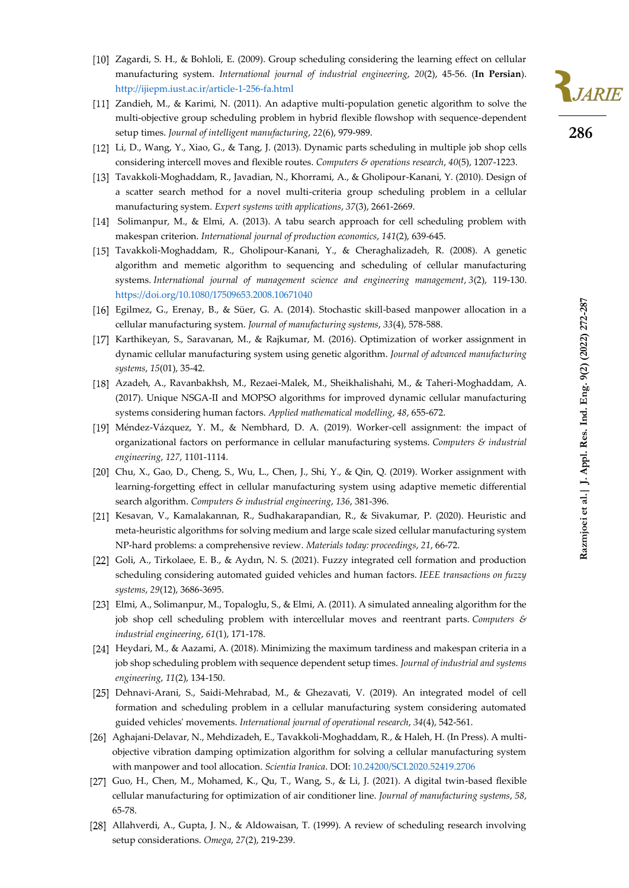

- [11] Zandieh, M., & Karimi, N. (2011). An adaptive multi-population genetic algorithm to solve the multi-objective group scheduling problem in hybrid flexible flowshop with sequence-dependent setup times. *Journal of intelligent manufacturing*, *22*(6), 979-989.
- Li, D., Wang, Y., Xiao, G., & Tang, J. (2013). Dynamic parts scheduling in multiple job shop cells considering intercell moves and flexible routes. *Computers & operations research*, *40*(5), 1207-1223.
- Tavakkoli-Moghaddam, R., Javadian, N., Khorrami, A., & Gholipour-Kanani, Y. (2010). Design of a scatter search method for a novel multi-criteria group scheduling problem in a cellular manufacturing system. *Expert systems with applications*, *37*(3), 2661-2669.
- [14] Solimanpur, M., & Elmi, A. (2013). A tabu search approach for cell scheduling problem with makespan criterion. *International journal of production economics*, *141*(2), 639-645.
- Tavakkoli-Moghaddam, R., Gholipour-Kanani, Y., & Cheraghalizadeh, R. (2008). A genetic algorithm and memetic algorithm to sequencing and scheduling of cellular manufacturing systems. *International journal of management science and engineering management*, *3*(2), 119-130. <https://doi.org/10.1080/17509653.2008.10671040>
- Egilmez, G., Erenay, B., & Süer, G. A. (2014). Stochastic skill-based manpower allocation in a cellular manufacturing system. *Journal of manufacturing systems*, *33*(4), 578-588.
- [17] Karthikeyan, S., Saravanan, M., & Rajkumar, M. (2016). Optimization of worker assignment in dynamic cellular manufacturing system using genetic algorithm. *Journal of advanced manufacturing systems*, *15*(01), 35-42.
- Azadeh, A., Ravanbakhsh, M., Rezaei-Malek, M., Sheikhalishahi, M., & Taheri-Moghaddam, A. (2017). Unique NSGA-II and MOPSO algorithms for improved dynamic cellular manufacturing systems considering human factors. *Applied mathematical modelling*, *48*, 655-672.
- [19] Méndez-Vázquez, Y. M., & Nembhard, D. A. (2019). Worker-cell assignment: the impact of organizational factors on performance in cellular manufacturing systems. *Computers & industrial engineering*, *127*, 1101-1114.
- [20] Chu, X., Gao, D., Cheng, S., Wu, L., Chen, J., Shi, Y., & Qin, Q. (2019). Worker assignment with learning-forgetting effect in cellular manufacturing system using adaptive memetic differential search algorithm. *Computers & industrial engineering*, *136*, 381-396.
- [21] Kesavan, V., Kamalakannan, R., Sudhakarapandian, R., & Sivakumar, P. (2020). Heuristic and meta-heuristic algorithms for solving medium and large scale sized cellular manufacturing system NP-hard problems: a comprehensive review. *Materials today: proceedings*, *21*, 66-72.
- [22] Goli, A., Tirkolaee, E. B., & Aydın, N. S. (2021). Fuzzy integrated cell formation and production scheduling considering automated guided vehicles and human factors. *IEEE transactions on fuzzy systems*, *29*(12), 3686-3695 .
- Elmi, A., Solimanpur, M., Topaloglu, S., & Elmi, A. (2011). A simulated annealing algorithm for the job shop cell scheduling problem with intercellular moves and reentrant parts. *Computers & industrial engineering*, *61*(1), 171-178.
- [24] Heydari, M., & Aazami, A. (2018). Minimizing the maximum tardiness and makespan criteria in a job shop scheduling problem with sequence dependent setup times. *Journal of industrial and systems engineering*, *11*(2), 134-150.
- Dehnavi-Arani, S., Saidi-Mehrabad, M., & Ghezavati, V. (2019). An integrated model of cell formation and scheduling problem in a cellular manufacturing system considering automated guided vehicles' movements. *International journal of operational research*, *34*(4), 542-561.
- [26] Aghajani-Delavar, N., Mehdizadeh, E., Tavakkoli-Moghaddam, R., & Haleh, H. (In Press). A multiobjective vibration damping optimization algorithm for solving a cellular manufacturing system with manpower and tool allocation. *Scientia Iranica*. DOI[: 10.24200/SCI.2020.52419.2706](https://dx.doi.org/10.24200/sci.2020.52419.2706)
- [27] Guo, H., Chen, M., Mohamed, K., Qu, T., Wang, S., & Li, J. (2021). A digital twin-based flexible cellular manufacturing for optimization of air conditioner line. *Journal of manufacturing systems*, *58*, 65-78.
- [28] Allahverdi, A., Gupta, J. N., & Aldowaisan, T. (1999). A review of scheduling research involving setup considerations. *Omega*, *27*(2), 219-239.